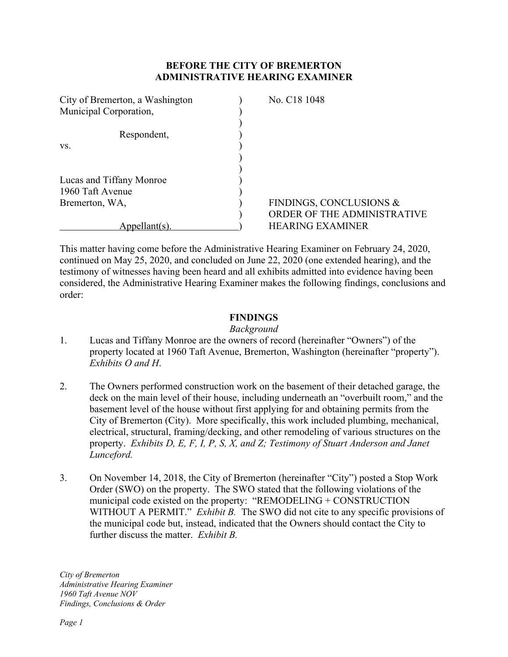# **BEFORE THE CITY OF BREMERTON ADMINISTRATIVE HEARING EXAMINER**

| City of Bremerton, a Washington | No. C <sub>18</sub> 1048    |
|---------------------------------|-----------------------------|
| Municipal Corporation,          |                             |
| Respondent,                     |                             |
| VS.                             |                             |
|                                 |                             |
| Lucas and Tiffany Monroe        |                             |
| 1960 Taft Avenue                |                             |
| Bremerton, WA,                  | FINDINGS, CONCLUSIONS &     |
|                                 | ORDER OF THE ADMINISTRATIVE |
| <u>ppellant(s)</u>              | <b>HEARING EXAMINER</b>     |

This matter having come before the Administrative Hearing Examiner on February 24, 2020, continued on May 25, 2020, and concluded on June 22, 2020 (one extended hearing), and the testimony of witnesses having been heard and all exhibits admitted into evidence having been considered, the Administrative Hearing Examiner makes the following findings, conclusions and order:

# **FINDINGS**

#### *Background*

- 1. Lucas and Tiffany Monroe are the owners of record (hereinafter "Owners") of the property located at 1960 Taft Avenue, Bremerton, Washington (hereinafter "property"). *Exhibits O and H*.
- 2. The Owners performed construction work on the basement of their detached garage, the deck on the main level of their house, including underneath an "overbuilt room," and the basement level of the house without first applying for and obtaining permits from the City of Bremerton (City). More specifically, this work included plumbing, mechanical, electrical, structural, framing/decking, and other remodeling of various structures on the property. *Exhibits D, E, F, I, P, S, X, and Z; Testimony of Stuart Anderson and Janet Lunceford.*
- 3. On November 14, 2018, the City of Bremerton (hereinafter "City") posted a Stop Work Order (SWO) on the property. The SWO stated that the following violations of the municipal code existed on the property: "REMODELING + CONSTRUCTION WITHOUT A PERMIT." *Exhibit B*. The SWO did not cite to any specific provisions of the municipal code but, instead, indicated that the Owners should contact the City to further discuss the matter. *Exhibit B.*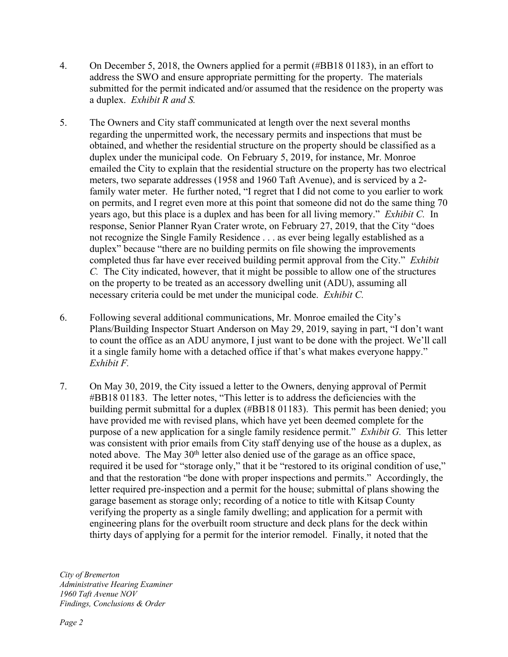- 4. On December 5, 2018, the Owners applied for a permit (#BB18 01183), in an effort to address the SWO and ensure appropriate permitting for the property. The materials submitted for the permit indicated and/or assumed that the residence on the property was a duplex. *Exhibit R and S.*
- 5. The Owners and City staff communicated at length over the next several months regarding the unpermitted work, the necessary permits and inspections that must be obtained, and whether the residential structure on the property should be classified as a duplex under the municipal code. On February 5, 2019, for instance, Mr. Monroe emailed the City to explain that the residential structure on the property has two electrical meters, two separate addresses (1958 and 1960 Taft Avenue), and is serviced by a 2 family water meter. He further noted, "I regret that I did not come to you earlier to work on permits, and I regret even more at this point that someone did not do the same thing 70 years ago, but this place is a duplex and has been for all living memory." *Exhibit C.* In response, Senior Planner Ryan Crater wrote, on February 27, 2019, that the City "does not recognize the Single Family Residence . . . as ever being legally established as a duplex" because "there are no building permits on file showing the improvements completed thus far have ever received building permit approval from the City." *Exhibit C.* The City indicated, however, that it might be possible to allow one of the structures on the property to be treated as an accessory dwelling unit (ADU), assuming all necessary criteria could be met under the municipal code. *Exhibit C.*
- 6. Following several additional communications, Mr. Monroe emailed the City's Plans/Building Inspector Stuart Anderson on May 29, 2019, saying in part, "I don't want to count the office as an ADU anymore, I just want to be done with the project. We'll call it a single family home with a detached office if that's what makes everyone happy." *Exhibit F.*
- 7. On May 30, 2019, the City issued a letter to the Owners, denying approval of Permit #BB18 01183. The letter notes, "This letter is to address the deficiencies with the building permit submittal for a duplex (#BB18 01183). This permit has been denied; you have provided me with revised plans, which have yet been deemed complete for the purpose of a new application for a single family residence permit." *Exhibit G.* This letter was consistent with prior emails from City staff denying use of the house as a duplex, as noted above. The May  $30<sup>th</sup>$  letter also denied use of the garage as an office space, required it be used for "storage only," that it be "restored to its original condition of use," and that the restoration "be done with proper inspections and permits." Accordingly, the letter required pre-inspection and a permit for the house; submittal of plans showing the garage basement as storage only; recording of a notice to title with Kitsap County verifying the property as a single family dwelling; and application for a permit with engineering plans for the overbuilt room structure and deck plans for the deck within thirty days of applying for a permit for the interior remodel. Finally, it noted that the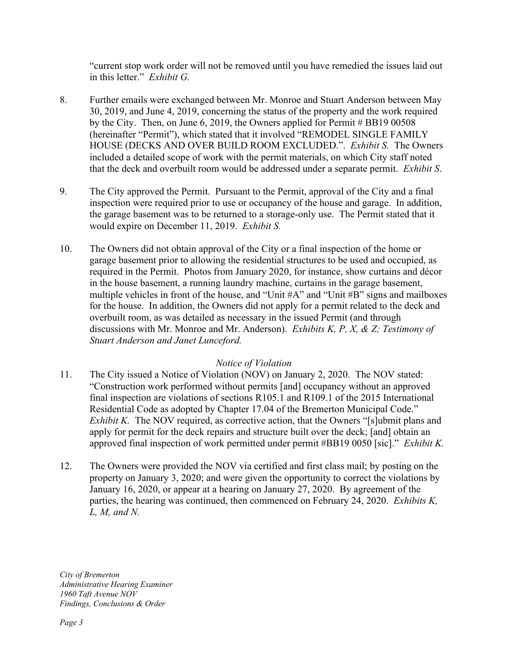"current stop work order will not be removed until you have remedied the issues laid out in this letter." *Exhibit G.*

- 8. Further emails were exchanged between Mr. Monroe and Stuart Anderson between May 30, 2019, and June 4, 2019, concerning the status of the property and the work required by the City. Then, on June 6, 2019, the Owners applied for Permit # BB19 00508 (hereinafter "Permit"), which stated that it involved "REMODEL SINGLE FAMILY HOUSE (DECKS AND OVER BUILD ROOM EXCLUDED.". *Exhibit S.* The Owners included a detailed scope of work with the permit materials, on which City staff noted that the deck and overbuilt room would be addressed under a separate permit. *Exhibit S*.
- 9. The City approved the Permit. Pursuant to the Permit, approval of the City and a final inspection were required prior to use or occupancy of the house and garage. In addition, the garage basement was to be returned to a storage-only use. The Permit stated that it would expire on December 11, 2019. *Exhibit S.*
- 10. The Owners did not obtain approval of the City or a final inspection of the home or garage basement prior to allowing the residential structures to be used and occupied, as required in the Permit. Photos from January 2020, for instance, show curtains and décor in the house basement, a running laundry machine, curtains in the garage basement, multiple vehicles in front of the house, and "Unit #A" and "Unit #B" signs and mailboxes for the house. In addition, the Owners did not apply for a permit related to the deck and overbuilt room, as was detailed as necessary in the issued Permit (and through discussions with Mr. Monroe and Mr. Anderson). *Exhibits K, P, X, & Z; Testimony of Stuart Anderson and Janet Lunceford.*

# *Notice of Violation*

- 11. The City issued a Notice of Violation (NOV) on January 2, 2020. The NOV stated: "Construction work performed without permits [and] occupancy without an approved final inspection are violations of sections R105.1 and R109.1 of the 2015 International Residential Code as adopted by Chapter 17.04 of the Bremerton Municipal Code." *Exhibit K.* The NOV required, as corrective action, that the Owners "[s]ubmit plans and apply for permit for the deck repairs and structure built over the deck; [and] obtain an approved final inspection of work permitted under permit #BB19 0050 [sic]." *Exhibit K.*
- 12. The Owners were provided the NOV via certified and first class mail; by posting on the property on January 3, 2020; and were given the opportunity to correct the violations by January 16, 2020, or appear at a hearing on January 27, 2020. By agreement of the parties, the hearing was continued, then commenced on February 24, 2020. *Exhibits K, L, M, and N.*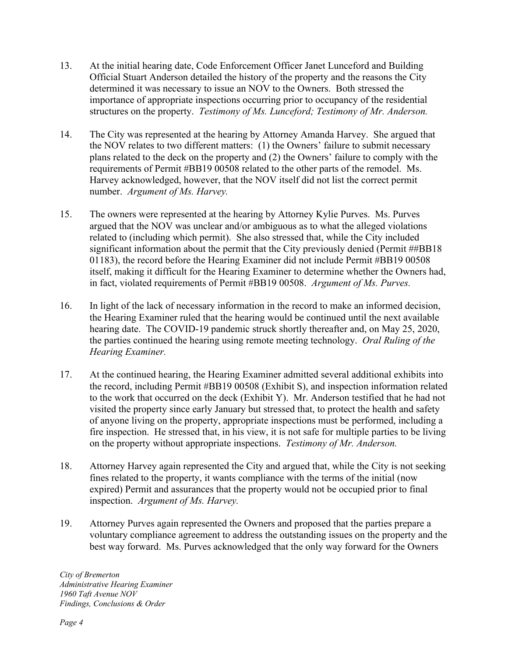- 13. At the initial hearing date, Code Enforcement Officer Janet Lunceford and Building Official Stuart Anderson detailed the history of the property and the reasons the City determined it was necessary to issue an NOV to the Owners. Both stressed the importance of appropriate inspections occurring prior to occupancy of the residential structures on the property. *Testimony of Ms. Lunceford; Testimony of Mr. Anderson.*
- 14. The City was represented at the hearing by Attorney Amanda Harvey. She argued that the NOV relates to two different matters: (1) the Owners' failure to submit necessary plans related to the deck on the property and (2) the Owners' failure to comply with the requirements of Permit #BB19 00508 related to the other parts of the remodel. Ms. Harvey acknowledged, however, that the NOV itself did not list the correct permit number. *Argument of Ms. Harvey.*
- 15. The owners were represented at the hearing by Attorney Kylie Purves. Ms. Purves argued that the NOV was unclear and/or ambiguous as to what the alleged violations related to (including which permit). She also stressed that, while the City included significant information about the permit that the City previously denied (Permit ##BB18) 01183), the record before the Hearing Examiner did not include Permit #BB19 00508 itself, making it difficult for the Hearing Examiner to determine whether the Owners had, in fact, violated requirements of Permit #BB19 00508. *Argument of Ms. Purves.*
- 16. In light of the lack of necessary information in the record to make an informed decision, the Hearing Examiner ruled that the hearing would be continued until the next available hearing date. The COVID-19 pandemic struck shortly thereafter and, on May 25, 2020, the parties continued the hearing using remote meeting technology. *Oral Ruling of the Hearing Examiner.*
- 17. At the continued hearing, the Hearing Examiner admitted several additional exhibits into the record, including Permit #BB19 00508 (Exhibit S), and inspection information related to the work that occurred on the deck (Exhibit Y). Mr. Anderson testified that he had not visited the property since early January but stressed that, to protect the health and safety of anyone living on the property, appropriate inspections must be performed, including a fire inspection. He stressed that, in his view, it is not safe for multiple parties to be living on the property without appropriate inspections. *Testimony of Mr. Anderson.*
- 18. Attorney Harvey again represented the City and argued that, while the City is not seeking fines related to the property, it wants compliance with the terms of the initial (now expired) Permit and assurances that the property would not be occupied prior to final inspection. *Argument of Ms. Harvey.*
- 19. Attorney Purves again represented the Owners and proposed that the parties prepare a voluntary compliance agreement to address the outstanding issues on the property and the best way forward. Ms. Purves acknowledged that the only way forward for the Owners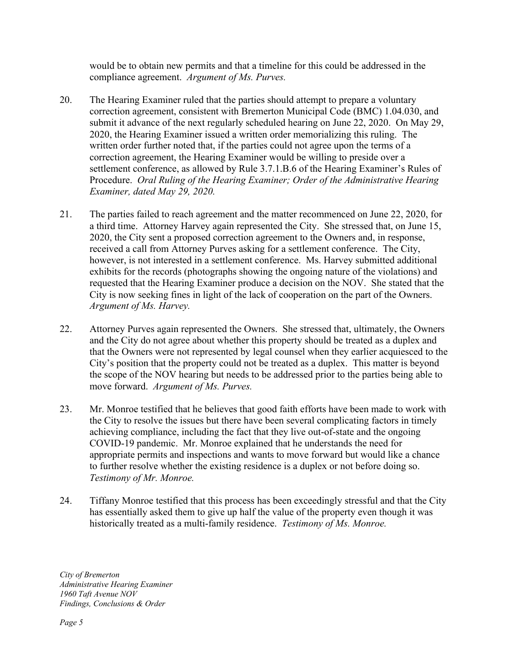would be to obtain new permits and that a timeline for this could be addressed in the compliance agreement. *Argument of Ms. Purves.*

- 20. The Hearing Examiner ruled that the parties should attempt to prepare a voluntary correction agreement, consistent with Bremerton Municipal Code (BMC) 1.04.030, and submit it advance of the next regularly scheduled hearing on June 22, 2020. On May 29, 2020, the Hearing Examiner issued a written order memorializing this ruling. The written order further noted that, if the parties could not agree upon the terms of a correction agreement, the Hearing Examiner would be willing to preside over a settlement conference, as allowed by Rule 3.7.1.B.6 of the Hearing Examiner's Rules of Procedure. *Oral Ruling of the Hearing Examiner; Order of the Administrative Hearing Examiner, dated May 29, 2020.*
- 21. The parties failed to reach agreement and the matter recommenced on June 22, 2020, for a third time. Attorney Harvey again represented the City. She stressed that, on June 15, 2020, the City sent a proposed correction agreement to the Owners and, in response, received a call from Attorney Purves asking for a settlement conference. The City, however, is not interested in a settlement conference. Ms. Harvey submitted additional exhibits for the records (photographs showing the ongoing nature of the violations) and requested that the Hearing Examiner produce a decision on the NOV. She stated that the City is now seeking fines in light of the lack of cooperation on the part of the Owners. *Argument of Ms. Harvey.*
- 22. Attorney Purves again represented the Owners. She stressed that, ultimately, the Owners and the City do not agree about whether this property should be treated as a duplex and that the Owners were not represented by legal counsel when they earlier acquiesced to the City's position that the property could not be treated as a duplex. This matter is beyond the scope of the NOV hearing but needs to be addressed prior to the parties being able to move forward. *Argument of Ms. Purves.*
- 23. Mr. Monroe testified that he believes that good faith efforts have been made to work with the City to resolve the issues but there have been several complicating factors in timely achieving compliance, including the fact that they live out-of-state and the ongoing COVID-19 pandemic. Mr. Monroe explained that he understands the need for appropriate permits and inspections and wants to move forward but would like a chance to further resolve whether the existing residence is a duplex or not before doing so. *Testimony of Mr. Monroe.*
- 24. Tiffany Monroe testified that this process has been exceedingly stressful and that the City has essentially asked them to give up half the value of the property even though it was historically treated as a multi-family residence. *Testimony of Ms. Monroe.*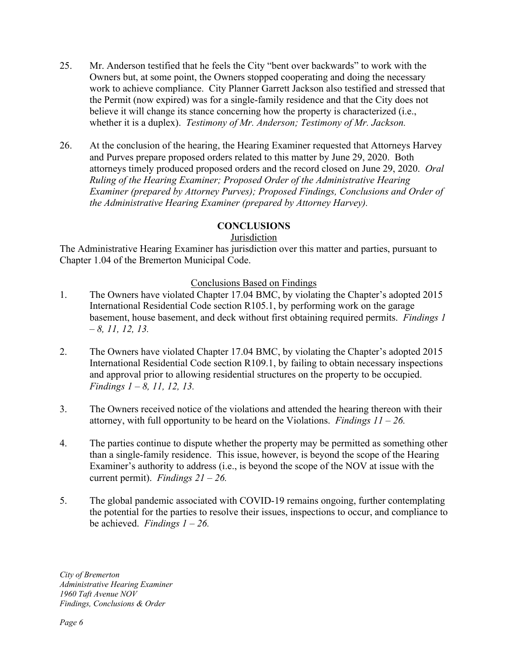- 25. Mr. Anderson testified that he feels the City "bent over backwards" to work with the Owners but, at some point, the Owners stopped cooperating and doing the necessary work to achieve compliance. City Planner Garrett Jackson also testified and stressed that the Permit (now expired) was for a single-family residence and that the City does not believe it will change its stance concerning how the property is characterized (i.e., whether it is a duplex). *Testimony of Mr. Anderson; Testimony of Mr. Jackson.*
- 26. At the conclusion of the hearing, the Hearing Examiner requested that Attorneys Harvey and Purves prepare proposed orders related to this matter by June 29, 2020. Both attorneys timely produced proposed orders and the record closed on June 29, 2020. *Oral Ruling of the Hearing Examiner; Proposed Order of the Administrative Hearing Examiner (prepared by Attorney Purves); Proposed Findings, Conclusions and Order of the Administrative Hearing Examiner (prepared by Attorney Harvey).*

### **CONCLUSIONS**

### Jurisdiction

The Administrative Hearing Examiner has jurisdiction over this matter and parties, pursuant to Chapter 1.04 of the Bremerton Municipal Code.

### Conclusions Based on Findings

- 1. The Owners have violated Chapter 17.04 BMC, by violating the Chapter's adopted 2015 International Residential Code section R105.1, by performing work on the garage basement, house basement, and deck without first obtaining required permits. *Findings 1 – 8, 11, 12, 13.*
- 2. The Owners have violated Chapter 17.04 BMC, by violating the Chapter's adopted 2015 International Residential Code section R109.1, by failing to obtain necessary inspections and approval prior to allowing residential structures on the property to be occupied. *Findings 1 – 8, 11, 12, 13.*
- 3. The Owners received notice of the violations and attended the hearing thereon with their attorney, with full opportunity to be heard on the Violations. *Findings 11 – 26.*
- 4. The parties continue to dispute whether the property may be permitted as something other than a single-family residence. This issue, however, is beyond the scope of the Hearing Examiner's authority to address (i.e., is beyond the scope of the NOV at issue with the current permit). *Findings 21 – 26.*
- 5. The global pandemic associated with COVID-19 remains ongoing, further contemplating the potential for the parties to resolve their issues, inspections to occur, and compliance to be achieved. *Findings 1 – 26.*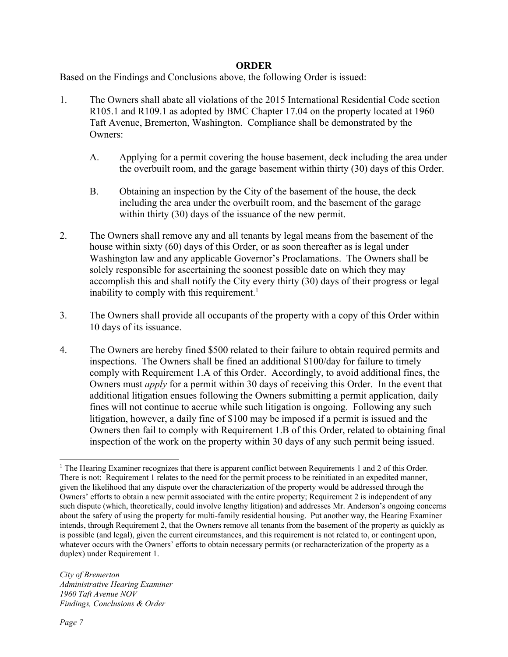#### **ORDER**

Based on the Findings and Conclusions above, the following Order is issued:

- 1. The Owners shall abate all violations of the 2015 International Residential Code section R105.1 and R109.1 as adopted by BMC Chapter 17.04 on the property located at 1960 Taft Avenue, Bremerton, Washington. Compliance shall be demonstrated by the Owners:
	- A. Applying for a permit covering the house basement, deck including the area under the overbuilt room, and the garage basement within thirty (30) days of this Order.
	- B. Obtaining an inspection by the City of the basement of the house, the deck including the area under the overbuilt room, and the basement of the garage within thirty (30) days of the issuance of the new permit.
- 2. The Owners shall remove any and all tenants by legal means from the basement of the house within sixty (60) days of this Order, or as soon thereafter as is legal under Washington law and any applicable Governor's Proclamations. The Owners shall be solely responsible for ascertaining the soonest possible date on which they may accomplish this and shall notify the City every thirty (30) days of their progress or legal inability to comply with this requirement. 1
- 3. The Owners shall provide all occupants of the property with a copy of this Order within 10 days of its issuance.
- 4. The Owners are hereby fined \$500 related to their failure to obtain required permits and inspections. The Owners shall be fined an additional \$100/day for failure to timely comply with Requirement 1.A of this Order. Accordingly, to avoid additional fines, the Owners must *apply* for a permit within 30 days of receiving this Order. In the event that additional litigation ensues following the Owners submitting a permit application, daily fines will not continue to accrue while such litigation is ongoing. Following any such litigation, however, a daily fine of \$100 may be imposed if a permit is issued and the Owners then fail to comply with Requirement 1.B of this Order, related to obtaining final inspection of the work on the property within 30 days of any such permit being issued.

<sup>&</sup>lt;sup>1</sup> The Hearing Examiner recognizes that there is apparent conflict between Requirements 1 and 2 of this Order. There is not: Requirement 1 relates to the need for the permit process to be reinitiated in an expedited manner, given the likelihood that any dispute over the characterization of the property would be addressed through the Owners' efforts to obtain a new permit associated with the entire property; Requirement 2 is independent of any such dispute (which, theoretically, could involve lengthy litigation) and addresses Mr. Anderson's ongoing concerns about the safety of using the property for multi-family residential housing. Put another way, the Hearing Examiner intends, through Requirement 2, that the Owners remove all tenants from the basement of the property as quickly as is possible (and legal), given the current circumstances, and this requirement is not related to, or contingent upon, whatever occurs with the Owners' efforts to obtain necessary permits (or recharacterization of the property as a duplex) under Requirement 1.